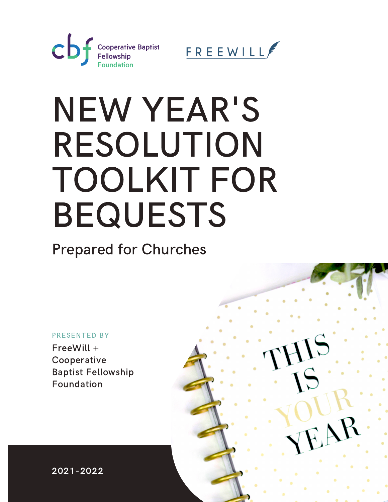



# NEW YEAR'S RESOLUTION TOOLKIT FOR BEQUESTS

Prepared for Churches

#### PRESENTED BY

FreeWill + Cooperative Baptist Fellowship Foundation



2021-2022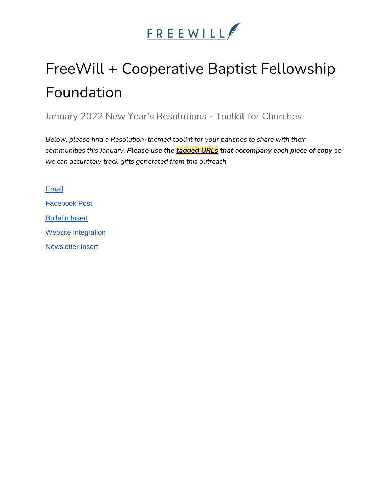

## FreeWill + Cooperative Baptist Fellowship Foundation

January 2022 New Year's Resolutions - Toolkit for Churches

*Below, please find a Resolution-themed toolkit for your parishes to share with their communities this January. Please use the tagged URLs that accompany each piece of copy so we can accurately track gifts generated from this outreach.*

[Email](#page-2-0) [Facebook Post](#page-3-0) [Bulletin Insert](#page-3-1) [Website Integration](#page-4-0) [Newsletter Insert](#page-4-1)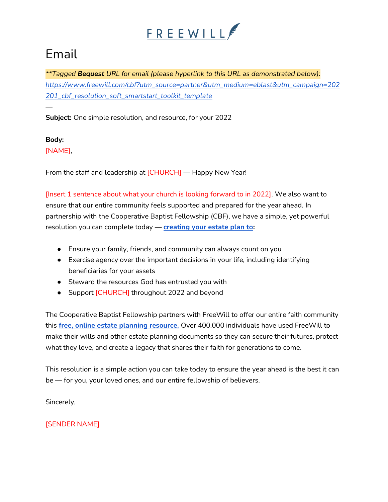

### <span id="page-2-0"></span>Email

*\*\*Tagged Bequest URL for email (please hyperlink to this URL as demonstrated below): [https://www.freewill.com/cbf?utm\\_source=partner&utm\\_medium=eblast&utm\\_campaign=202](https://www.freewill.com/cbf?utm_source=partner&utm_medium=eblast&utm_campaign=202201_cbf_resolution_soft_smartstart_toolkit_template) [201\\_cbf\\_resolution\\_soft\\_smartstart\\_toolkit\\_template](https://www.freewill.com/cbf?utm_source=partner&utm_medium=eblast&utm_campaign=202201_cbf_resolution_soft_smartstart_toolkit_template)*

**Subject:** One simple resolution, and resource, for your 2022

**Body:** [NAME],

*—*

From the staff and leadership at [CHURCH] — Happy New Year!

[Insert 1 sentence about what your church is looking forward to in 2022]. We also want to ensure that our entire community feels supported and prepared for the year ahead. In partnership with the Cooperative Baptist Fellowship (CBF), we have a simple, yet powerful resolution you can complete today — **[creating your estate plan to:](https://www.freewill.com/cbf?utm_source=partner&utm_medium=eblast&utm_campaign=202201_cbf_resolution_soft_smartstart_toolkit_template)** 

- Ensure your family, friends, and community can always count on you
- Exercise agency over the important decisions in your life, including identifying beneficiaries for your assets
- Steward the resources God has entrusted you with
- Support [CHURCH] throughout 2022 and beyond

The Cooperative Baptist Fellowship partners with FreeWill to offer our entire faith community this **[free, online estate planning resource.](https://www.freewill.com/cbf?utm_source=partner&utm_medium=eblast&utm_campaign=202201_cbf_resolution_soft_smartstart_toolkit_template)** Over 400,000 individuals have used FreeWill to make their wills and other estate planning documents so they can secure their futures, protect what they love, and create a legacy that shares their faith for generations to come.

This resolution is a simple action you can take today to ensure the year ahead is the best it can be — for you, your loved ones, and our entire fellowship of believers.

Sincerely,

[SENDER NAME]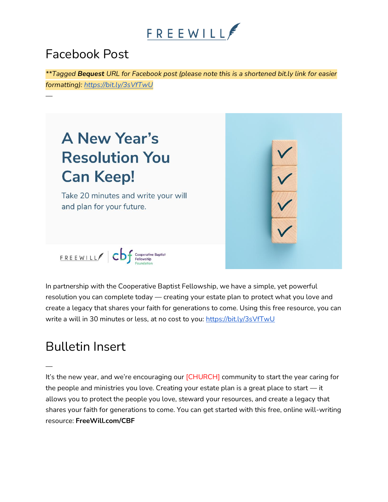

#### <span id="page-3-0"></span>Facebook Post

*—*

*\*\*Tagged Bequest URL for Facebook post (please note this is a shortened bit.ly link for easier formatting):<https://bit.ly/3sVfTwU>*



In partnership with the Cooperative Baptist Fellowship, we have a simple, yet powerful resolution you can complete today — creating your estate plan to protect what you love and create a legacy that shares your faith for generations to come. Using this free resource, you can write a will in 30 minutes or less, at no cost to you:<https://bit.ly/3sVfTwU>

#### <span id="page-3-1"></span>Bulletin Insert

*—*

It's the new year, and we're encouraging our [CHURCH] community to start the year caring for the people and ministries you love. Creating your estate plan is a great place to start — it allows you to protect the people you love, steward your resources, and create a legacy that shares your faith for generations to come. You can get started with this free, online will-writing resource: **FreeWill.com/CBF**